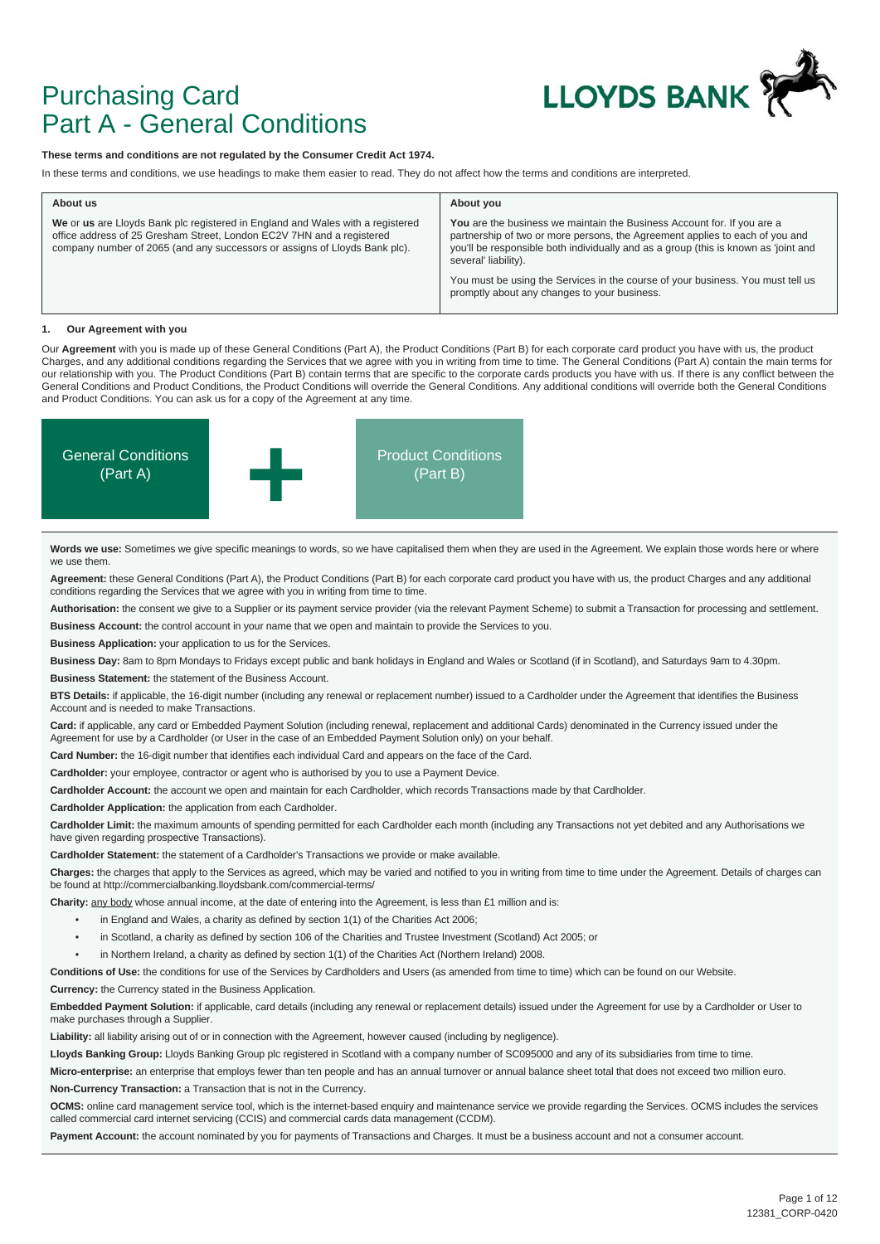

## Purchasing Card Part A - General Conditions

#### **These terms and conditions are not regulated by the Consumer Credit Act 1974.**

In these terms and conditions, we use headings to make them easier to read. They do not affect how the terms and conditions are interpreted.

| About us                                                                                                                                                                                                                              | About you                                                                                                                                                                                                                                                              |  |
|---------------------------------------------------------------------------------------------------------------------------------------------------------------------------------------------------------------------------------------|------------------------------------------------------------------------------------------------------------------------------------------------------------------------------------------------------------------------------------------------------------------------|--|
| We or us are Lloyds Bank plc registered in England and Wales with a registered<br>office address of 25 Gresham Street, London EC2V 7HN and a registered<br>company number of 2065 (and any successors or assigns of Lloyds Bank plc). | You are the business we maintain the Business Account for. If you are a<br>partnership of two or more persons, the Agreement applies to each of you and<br>you'll be responsible both individually and as a group (this is known as 'joint and<br>several' liability). |  |
|                                                                                                                                                                                                                                       | You must be using the Services in the course of your business. You must tell us<br>promptly about any changes to your business.                                                                                                                                        |  |

#### **1. Our Agreement with you**

Our **Agreement** with you is made up of these General Conditions (Part A), the Product Conditions (Part B) for each corporate card product you have with us, the product Charges, and any additional conditions regarding the Services that we agree with you in writing from time to time. The General Conditions (Part A) contain the main terms for our relationship with you. The Product Conditions (Part B) contain terms that are specific to the corporate cards products you have with us. If there is any conflict between the General Conditions and Product Conditions, the Product Conditions will override the General Conditions. Any additional conditions will override both the General Conditions and Product Conditions. You can ask us for a copy of the Agreement at any time.



Words we use: Sometimes we give specific meanings to words, so we have capitalised them when they are used in the Agreement. We explain those words here or where we use them.

**Agreement:** these General Conditions (Part A), the Product Conditions (Part B) for each corporate card product you have with us, the product Charges and any additional conditions regarding the Services that we agree with you in writing from time to time.

**Authorisation:** the consent we give to a Supplier or its payment service provider (via the relevant Payment Scheme) to submit a Transaction for processing and settlement.

**Business Account:** the control account in your name that we open and maintain to provide the Services to you.

**Business Application:** your application to us for the Services.

**Business Day:** 8am to 8pm Mondays to Fridays except public and bank holidays in England and Wales or Scotland (if in Scotland), and Saturdays 9am to 4.30pm.

**Business Statement:** the statement of the Business Account.

**BTS Details:** if applicable, the 16-digit number (including any renewal or replacement number) issued to a Cardholder under the Agreement that identifies the Business Account and is needed to make Transactions.

**Card:** if applicable, any card or Embedded Payment Solution (including renewal, replacement and additional Cards) denominated in the Currency issued under the Agreement for use by a Cardholder (or User in the case of an Embedded Payment Solution only) on your behalf.

**Card Number:** the 16-digit number that identifies each individual Card and appears on the face of the Card.

**Cardholder:** your employee, contractor or agent who is authorised by you to use a Payment Device.

**Cardholder Account:** the account we open and maintain for each Cardholder, which records Transactions made by that Cardholder.

**Cardholder Application:** the application from each Cardholder.

Cardholder Limit: the maximum amounts of spending permitted for each Cardholder each month (including any Transactions not yet debited and any Authorisations we have given regarding prospective Transactions).

**Cardholder Statement:** the statement of a Cardholder's Transactions we provide or make available.

**Charges:** the charges that apply to the Services as agreed, which may be varied and notified to you in writing from time to time under the Agreement. Details of charges can be found at http://commercialbanking.lloydsbank.com/commercial-terms/

**Charity:** any body whose annual income, at the date of entering into the Agreement, is less than £1 million and is:

- in England and Wales, a charity as defined by section 1(1) of the Charities Act 2006;
- in Scotland, a charity as defined by section 106 of the Charities and Trustee Investment (Scotland) Act 2005; or
- in Northern Ireland, a charity as defined by section 1(1) of the Charities Act (Northern Ireland) 2008.

**Conditions of Use:** the conditions for use of the Services by Cardholders and Users (as amended from time to time) which can be found on our Website.

**Currency:** the Currency stated in the Business Application.

**Embedded Payment Solution:** if applicable, card details (including any renewal or replacement details) issued under the Agreement for use by a Cardholder or User to make purchases through a Supplier.

**Liability:** all liability arising out of or in connection with the Agreement, however caused (including by negligence).

**Lloyds Banking Group:** Lloyds Banking Group plc registered in Scotland with a company number of SC095000 and any of its subsidiaries from time to time.

Micro-enterprise: an enterprise that employs fewer than ten people and has an annual turnover or annual balance sheet total that does not exceed two million euro. **Non-Currency Transaction:** a Transaction that is not in the Currency.

**OCMS:** online card management service tool, which is the internet-based enquiry and maintenance service we provide regarding the Services. OCMS includes the services called commercial card internet servicing (CCIS) and commercial cards data management (CCDM).

Payment Account: the account nominated by you for payments of Transactions and Charges. It must be a business account and not a consumer account.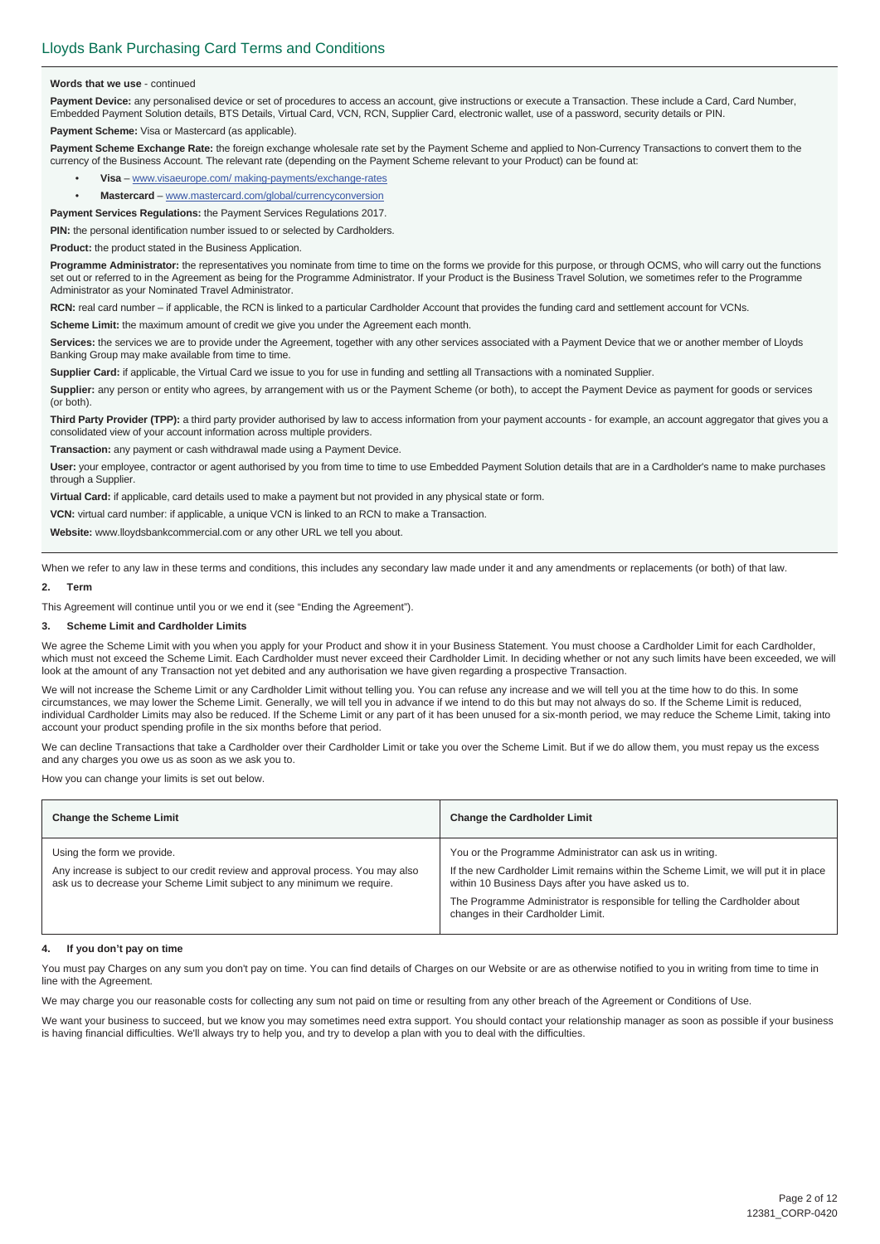#### **Words that we use** - continued

Payment Device: any personalised device or set of procedures to access an account, give instructions or execute a Transaction. These include a Card, Card Number, Embedded Payment Solution details, BTS Details, Virtual Card, VCN, RCN, Supplier Card, electronic wallet, use of a password, security details or PIN.

**Payment Scheme:** Visa or Mastercard (as applicable).

Payment Scheme Exchange Rate: the foreign exchange wholesale rate set by the Payment Scheme and applied to Non-Currency Transactions to convert them to the currency of the Business Account. The relevant rate (depending on the Payment Scheme relevant to your Product) can be found at:

- **Visa** www.visaeurope.com/ making-payments/exchange-rates
- **Mastercard** www.mastercard.com/global/currencyconversion

**Payment Services Regulations:** the Payment Services Regulations 2017.

**PIN:** the personal identification number issued to or selected by Cardholders.

**Product:** the product stated in the Business Application.

**Programme Administrator:** the representatives you nominate from time to time on the forms we provide for this purpose, or through OCMS, who will carry out the functions set out or referred to in the Agreement as being for the Programme Administrator. If your Product is the Business Travel Solution, we sometimes refer to the Programme Administrator as your Nominated Travel Administrator.

**RCN:** real card number – if applicable, the RCN is linked to a particular Cardholder Account that provides the funding card and settlement account for VCNs.

**Scheme Limit:** the maximum amount of credit we give you under the Agreement each month.

**Services:** the services we are to provide under the Agreement, together with any other services associated with a Payment Device that we or another member of Lloyds Banking Group may make available from time to time.

**Supplier Card:** if applicable, the Virtual Card we issue to you for use in funding and settling all Transactions with a nominated Supplier.

Supplier: any person or entity who agrees, by arrangement with us or the Payment Scheme (or both), to accept the Payment Device as payment for goods or services (or both).

Third Party Provider (TPP): a third party provider authorised by law to access information from your payment accounts - for example, an account aggregator that gives you a consolidated view of your account information across multiple providers.

**Transaction:** any payment or cash withdrawal made using a Payment Device.

**User:** your employee, contractor or agent authorised by you from time to time to use Embedded Payment Solution details that are in a Cardholder's name to make purchases through a Supplier.

**Virtual Card:** if applicable, card details used to make a payment but not provided in any physical state or form.

**VCN:** virtual card number: if applicable, a unique VCN is linked to an RCN to make a Transaction.

**Website:** www.lloydsbankcommercial.com or any other URL we tell you about.

When we refer to any law in these terms and conditions, this includes any secondary law made under it and any amendments or replacements (or both) of that law.

#### **2. Term**

This Agreement will continue until you or we end it (see "Ending the Agreement").

#### **3. Scheme Limit and Cardholder Limits**

We agree the Scheme Limit with you when you apply for your Product and show it in your Business Statement. You must choose a Cardholder Limit for each Cardholder, which must not exceed the Scheme Limit. Each Cardholder must never exceed their Cardholder Limit. In deciding whether or not any such limits have been exceeded, we will look at the amount of any Transaction not yet debited and any authorisation we have given regarding a prospective Transaction.

We will not increase the Scheme Limit or any Cardholder Limit without telling you. You can refuse any increase and we will tell you at the time how to do this. In some circumstances, we may lower the Scheme Limit. Generally, we will tell you in advance if we intend to do this but may not always do so. If the Scheme Limit is reduced, individual Cardholder Limits may also be reduced. If the Scheme Limit or any part of it has been unused for a six-month period, we may reduce the Scheme Limit, taking into account your product spending profile in the six months before that period.

We can decline Transactions that take a Cardholder over their Cardholder Limit or take you over the Scheme Limit. But if we do allow them, you must repay us the excess and any charges you owe us as soon as we ask you to.

How you can change your limits is set out below.

| <b>Change the Scheme Limit</b>                                                                                                                                                           | <b>Change the Cardholder Limit</b>                                                                                                                                                                                                                                                                                            |
|------------------------------------------------------------------------------------------------------------------------------------------------------------------------------------------|-------------------------------------------------------------------------------------------------------------------------------------------------------------------------------------------------------------------------------------------------------------------------------------------------------------------------------|
| Using the form we provide.<br>Any increase is subject to our credit review and approval process. You may also<br>ask us to decrease your Scheme Limit subject to any minimum we require. | You or the Programme Administrator can ask us in writing.<br>If the new Cardholder Limit remains within the Scheme Limit, we will put it in place<br>within 10 Business Days after you have asked us to.<br>The Programme Administrator is responsible for telling the Cardholder about<br>changes in their Cardholder Limit. |

#### **4. If you don't pay on time**

You must pay Charges on any sum you don't pay on time. You can find details of Charges on our Website or are as otherwise notified to you in writing from time to time in line with the Agreement.

We may charge you our reasonable costs for collecting any sum not paid on time or resulting from any other breach of the Agreement or Conditions of Use.

We want your business to succeed, but we know you may sometimes need extra support. You should contact your relationship manager as soon as possible if your business is having financial difficulties. We'll always try to help you, and try to develop a plan with you to deal with the difficulties.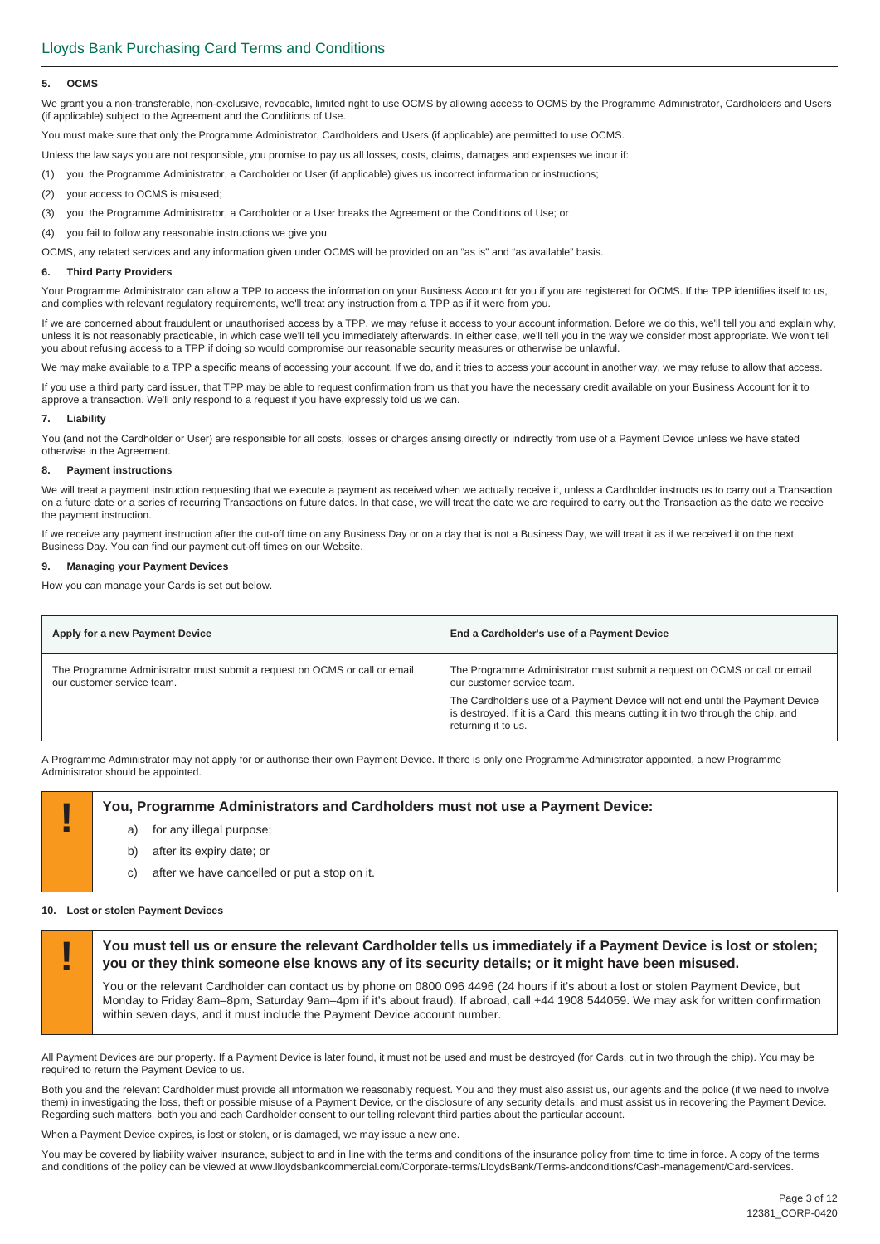#### **5. OCMS**

We grant you a non-transferable, non-exclusive, revocable, limited right to use OCMS by allowing access to OCMS by the Programme Administrator, Cardholders and Users (if applicable) subject to the Agreement and the Conditions of Use.

You must make sure that only the Programme Administrator, Cardholders and Users (if applicable) are permitted to use OCMS.

Unless the law says you are not responsible, you promise to pay us all losses, costs, claims, damages and expenses we incur if:

(1) you, the Programme Administrator, a Cardholder or User (if applicable) gives us incorrect information or instructions;

- (2) your access to OCMS is misused;
- (3) you, the Programme Administrator, a Cardholder or a User breaks the Agreement or the Conditions of Use; or

(4) you fail to follow any reasonable instructions we give you.

OCMS, any related services and any information given under OCMS will be provided on an "as is" and "as available" basis.

#### **6. Third Party Providers**

Your Programme Administrator can allow a TPP to access the information on your Business Account for you if you are registered for OCMS. If the TPP identifies itself to us, and complies with relevant regulatory requirements, we'll treat any instruction from a TPP as if it were from you.

If we are concerned about fraudulent or unauthorised access by a TPP, we may refuse it access to your account information. Before we do this, we'll tell you and explain why, unless it is not reasonably practicable, in which case we'll tell you immediately afterwards. In either case, we'll tell you in the way we consider most appropriate. We won't tell you about refusing access to a TPP if doing so would compromise our reasonable security measures or otherwise be unlawful.

We may make available to a TPP a specific means of accessing your account. If we do, and it tries to access your account in another way, we may refuse to allow that access.

If you use a third party card issuer, that TPP may be able to request confirmation from us that you have the necessary credit available on your Business Account for it to approve a transaction. We'll only respond to a request if you have expressly told us we can.

#### **7. Liability**

You (and not the Cardholder or User) are responsible for all costs, losses or charges arising directly or indirectly from use of a Payment Device unless we have stated otherwise in the Agreement.

#### **8. Payment instructions**

We will treat a payment instruction requesting that we execute a payment as received when we actually receive it, unless a Cardholder instructs us to carry out a Transaction on a future date or a series of recurring Transactions on future dates. In that case, we will treat the date we are required to carry out the Transaction as the date we receive the payment instruction.

If we receive any payment instruction after the cut-off time on any Business Day or on a day that is not a Business Day, we will treat it as if we received it on the next Business Day. You can find our payment cut-off times on our Website.

#### **9. Managing your Payment Devices**

How you can manage your Cards is set out below.

| Apply for a new Payment Device                                                                           | End a Cardholder's use of a Payment Device                                                                                                                                                                                                                                                             |
|----------------------------------------------------------------------------------------------------------|--------------------------------------------------------------------------------------------------------------------------------------------------------------------------------------------------------------------------------------------------------------------------------------------------------|
| The Programme Administrator must submit a request on OCMS or call or email<br>our customer service team. | The Programme Administrator must submit a request on OCMS or call or email<br>our customer service team.<br>The Cardholder's use of a Payment Device will not end until the Payment Device<br>is destroyed. If it is a Card, this means cutting it in two through the chip, and<br>returning it to us. |

A Programme Administrator may not apply for or authorise their own Payment Device. If there is only one Programme Administrator appointed, a new Programme Administrator should be appointed.

# **Part Programme Administrators and Cardholders must not use a Payment Device:**<br>a) for any illegal purpose:

- for any illegal purpose;
- b) after its expiry date; or
- c) after we have cancelled or put a stop on it.

#### **10. Lost or stolen Payment Devices**

**! You must tell us or ensure the relevant Cardholder tells us immediately if a Payment Device is lost or stolen; you or they think someone else knows any of its security details; or it might have been misused.** 

You or the relevant Cardholder can contact us by phone on 0800 096 4496 (24 hours if it's about a lost or stolen Payment Device, but Monday to Friday 8am–8pm, Saturday 9am–4pm if it's about fraud). If abroad, call +44 1908 544059. We may ask for written confirmation within seven days, and it must include the Payment Device account number.

All Payment Devices are our property. If a Payment Device is later found, it must not be used and must be destroyed (for Cards, cut in two through the chip). You may be required to return the Payment Device to us.

Both you and the relevant Cardholder must provide all information we reasonably request. You and they must also assist us, our agents and the police (if we need to involve them) in investigating the loss, theft or possible misuse of a Payment Device, or the disclosure of any security details, and must assist us in recovering the Payment Device. Regarding such matters, both you and each Cardholder consent to our telling relevant third parties about the particular account.

When a Payment Device expires, is lost or stolen, or is damaged, we may issue a new one.

You may be covered by liability waiver insurance, subject to and in line with the terms and conditions of the insurance policy from time to time in force. A copy of the terms and conditions of the policy can be viewed at www.lloydsbankcommercial.com/Corporate-terms/LloydsBank/Terms-andconditions/Cash-management/Card-services.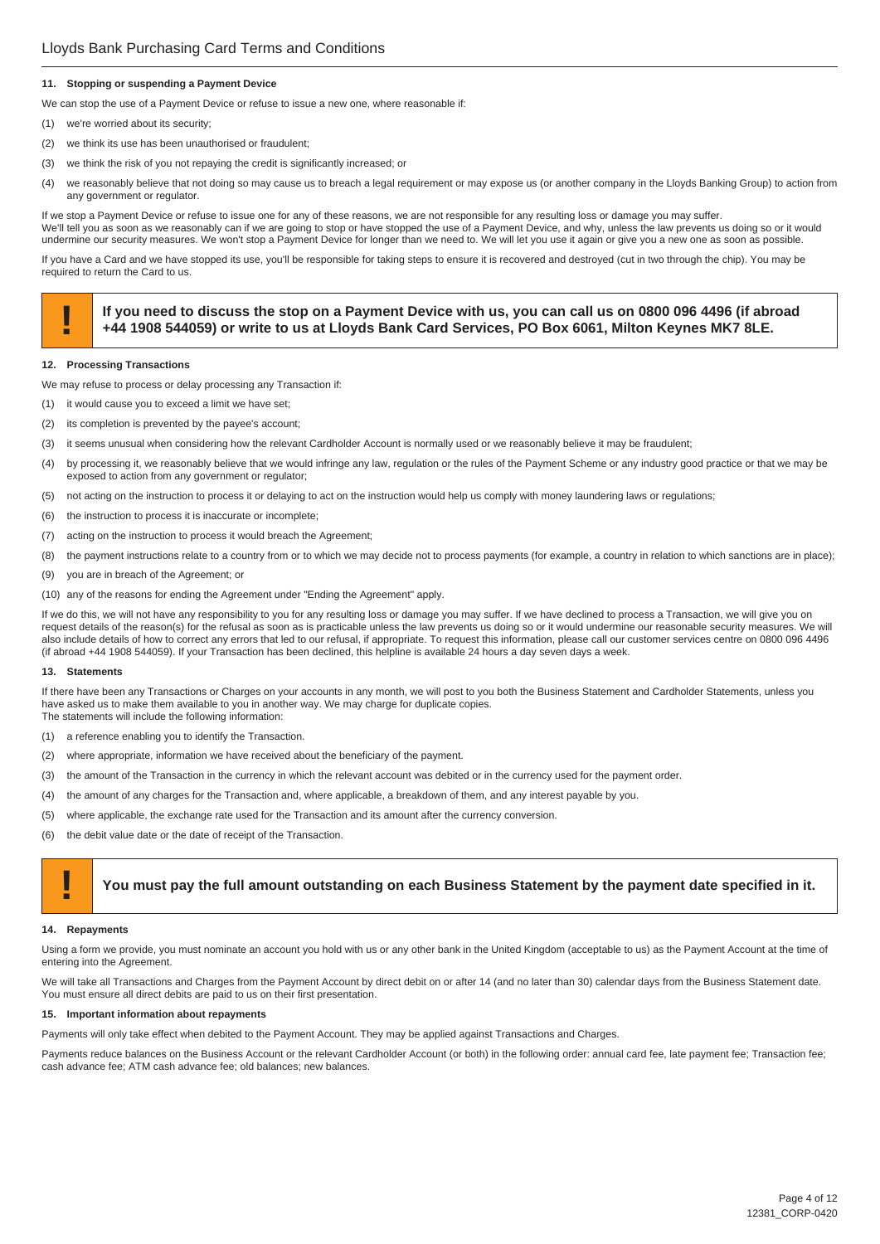#### **11. Stopping or suspending a Payment Device**

We can stop the use of a Payment Device or refuse to issue a new one, where reasonable if:

- (1) we're worried about its security;
- (2) we think its use has been unauthorised or fraudulent;
- (3) we think the risk of you not repaying the credit is significantly increased; or
- (4) we reasonably believe that not doing so may cause us to breach a legal requirement or may expose us (or another company in the Lloyds Banking Group) to action from any government or regulator.

If we stop a Payment Device or refuse to issue one for any of these reasons, we are not responsible for any resulting loss or damage you may suffer. We'll tell you as soon as we reasonably can if we are going to stop or have stopped the use of a Payment Device, and why, unless the law prevents us doing so or it would undermine our security measures. We won't stop a Payment Device for longer than we need to. We will let you use it again or give you a new one as soon as possible.

If you have a Card and we have stopped its use, you'll be responsible for taking steps to ensure it is recovered and destroyed (cut in two through the chip). You may be required to return the Card to us.

# If you need to discuss the stop on a Payment Device with us, you can call us on 0800 096 4496 (if abroad +44 1908 544059) or write to us at Lloyds Bank Card Services, PO Box 6061, Milton Keynes MK7 8LE.

#### **12. Processing Transactions**

- We may refuse to process or delay processing any Transaction if:
- (1) it would cause you to exceed a limit we have set;
- (2) its completion is prevented by the payee's account;
- (3) it seems unusual when considering how the relevant Cardholder Account is normally used or we reasonably believe it may be fraudulent;
- (4) by processing it, we reasonably believe that we would infringe any law, regulation or the rules of the Payment Scheme or any industry good practice or that we may be exposed to action from any government or regulator;
- (5) not acting on the instruction to process it or delaying to act on the instruction would help us comply with money laundering laws or regulations;
- (6) the instruction to process it is inaccurate or incomplete;
- (7) acting on the instruction to process it would breach the Agreement;
- (8) the payment instructions relate to a country from or to which we may decide not to process payments (for example, a country in relation to which sanctions are in place);
- (9) you are in breach of the Agreement; or
- (10) any of the reasons for ending the Agreement under "Ending the Agreement" apply.

If we do this, we will not have any responsibility to you for any resulting loss or damage you may suffer. If we have declined to process a Transaction, we will give you on request details of the reason(s) for the refusal as soon as is practicable unless the law prevents us doing so or it would undermine our reasonable security measures. We will also include details of how to correct any errors that led to our refusal, if appropriate. To request this information, please call our customer services centre on 0800 096 4496 (if abroad +44 1908 544059). If your Transaction has been declined, this helpline is available 24 hours a day seven days a week.

#### **13. Statements**

If there have been any Transactions or Charges on your accounts in any month, we will post to you both the Business Statement and Cardholder Statements, unless you have asked us to make them available to you in another way. We may charge for duplicate copies. The statements will include the following information:

- (1) a reference enabling you to identify the Transaction.
- (2) where appropriate, information we have received about the beneficiary of the payment.
- (3) the amount of the Transaction in the currency in which the relevant account was debited or in the currency used for the payment order.
- (4) the amount of any charges for the Transaction and, where applicable, a breakdown of them, and any interest payable by you.
- (5) where applicable, the exchange rate used for the Transaction and its amount after the currency conversion.
- (6) the debit value date or the date of receipt of the Transaction.

#### **! You must pay the full amount outstanding on each Business Statement by the payment date specified in it.**

#### **14. Repayments**

Using a form we provide, you must nominate an account you hold with us or any other bank in the United Kingdom (acceptable to us) as the Payment Account at the time of entering into the Agreement.

We will take all Transactions and Charges from the Payment Account by direct debit on or after 14 (and no later than 30) calendar days from the Business Statement date. You must ensure all direct debits are paid to us on their first presentation.

#### **15. Important information about repayments**

Payments will only take effect when debited to the Payment Account. They may be applied against Transactions and Charges.

Payments reduce balances on the Business Account or the relevant Cardholder Account (or both) in the following order: annual card fee, late payment fee; Transaction fee; cash advance fee; ATM cash advance fee; old balances; new balances.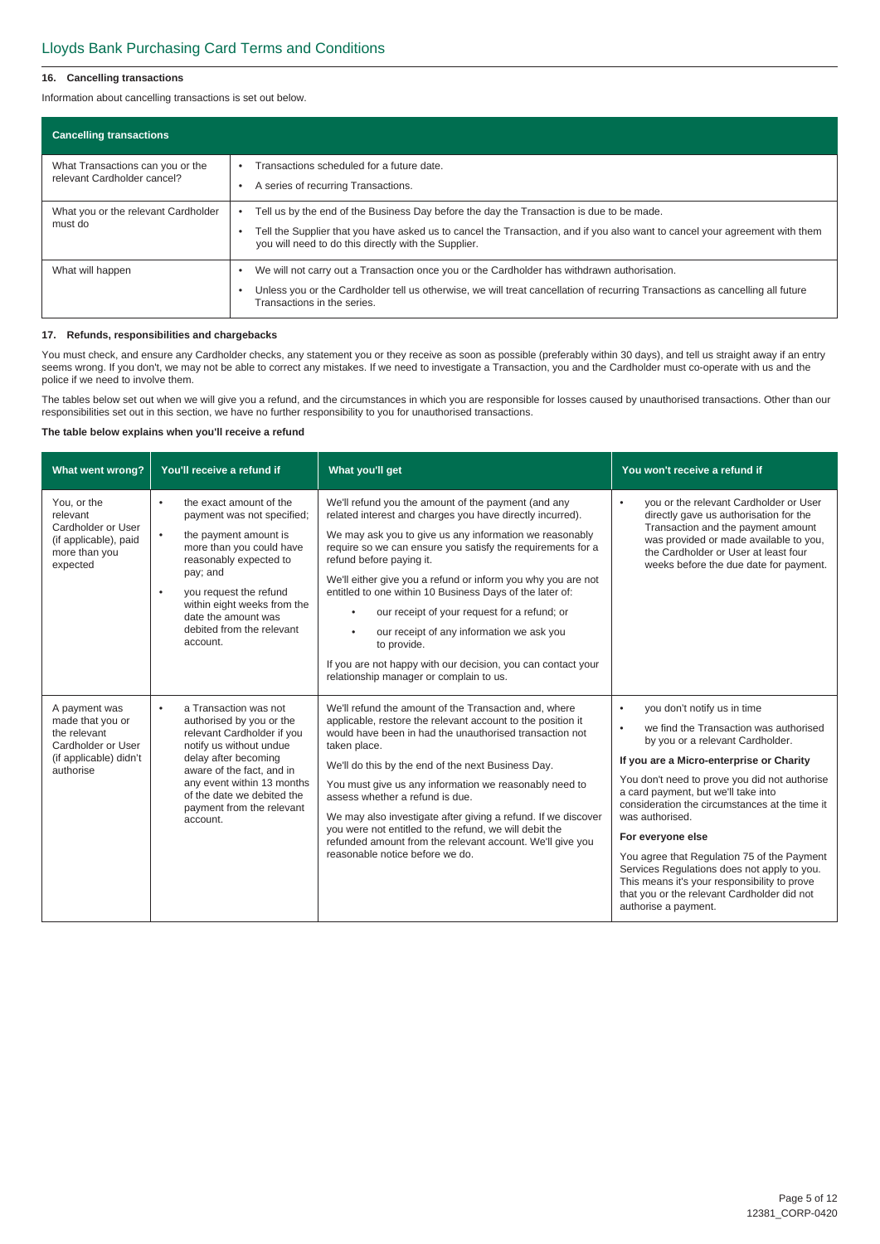#### **16. Cancelling transactions**

Information about cancelling transactions is set out below.

| <b>Cancelling transactions</b>                                  |                                                                                                                                                                                                                                                                                 |
|-----------------------------------------------------------------|---------------------------------------------------------------------------------------------------------------------------------------------------------------------------------------------------------------------------------------------------------------------------------|
| What Transactions can you or the<br>relevant Cardholder cancel? | Transactions scheduled for a future date.<br>A series of recurring Transactions.                                                                                                                                                                                                |
| What you or the relevant Cardholder<br>must do                  | Tell us by the end of the Business Day before the day the Transaction is due to be made.<br>Tell the Supplier that you have asked us to cancel the Transaction, and if you also want to cancel your agreement with them<br>you will need to do this directly with the Supplier. |
| What will happen                                                | We will not carry out a Transaction once you or the Cardholder has withdrawn authorisation.<br>Unless you or the Cardholder tell us otherwise, we will treat cancellation of recurring Transactions as cancelling all future<br>Transactions in the series.                     |

#### **17. Refunds, responsibilities and chargebacks**

You must check, and ensure any Cardholder checks, any statement you or they receive as soon as possible (preferably within 30 days), and tell us straight away if an entry seems wrong. If you don't, we may not be able to correct any mistakes. If we need to investigate a Transaction, you and the Cardholder must co-operate with us and the police if we need to involve them.

The tables below set out when we will give you a refund, and the circumstances in which you are responsible for losses caused by unauthorised transactions. Other than our responsibilities set out in this section, we have no further responsibility to you for unauthorised transactions.

#### **The table below explains when you'll receive a refund**

| What went wrong?                                                                                               | You'll receive a refund if                                                                                                                                                                                                                                                                               | What you'll get                                                                                                                                                                                                                                                                                                                                                                                                                                                                                                                                                                                                                                     | You won't receive a refund if                                                                                                                                                                                                                                                                                                                                                                                                                                                                                                                                                          |
|----------------------------------------------------------------------------------------------------------------|----------------------------------------------------------------------------------------------------------------------------------------------------------------------------------------------------------------------------------------------------------------------------------------------------------|-----------------------------------------------------------------------------------------------------------------------------------------------------------------------------------------------------------------------------------------------------------------------------------------------------------------------------------------------------------------------------------------------------------------------------------------------------------------------------------------------------------------------------------------------------------------------------------------------------------------------------------------------------|----------------------------------------------------------------------------------------------------------------------------------------------------------------------------------------------------------------------------------------------------------------------------------------------------------------------------------------------------------------------------------------------------------------------------------------------------------------------------------------------------------------------------------------------------------------------------------------|
| You, or the<br>relevant<br>Cardholder or User<br>(if applicable), paid<br>more than you<br>expected            | the exact amount of the<br>$\bullet$<br>payment was not specified;<br>the payment amount is<br>$\bullet$<br>more than you could have<br>reasonably expected to<br>pay; and<br>you request the refund<br>٠<br>within eight weeks from the<br>date the amount was<br>debited from the relevant<br>account. | We'll refund you the amount of the payment (and any<br>related interest and charges you have directly incurred).<br>We may ask you to give us any information we reasonably<br>require so we can ensure you satisfy the requirements for a<br>refund before paying it.<br>We'll either give you a refund or inform you why you are not<br>entitled to one within 10 Business Days of the later of:<br>our receipt of your request for a refund; or<br>$\bullet$<br>our receipt of any information we ask you<br>$\bullet$<br>to provide.<br>If you are not happy with our decision, you can contact your<br>relationship manager or complain to us. | you or the relevant Cardholder or User<br>$\bullet$<br>directly gave us authorisation for the<br>Transaction and the payment amount<br>was provided or made available to you,<br>the Cardholder or User at least four<br>weeks before the due date for payment.                                                                                                                                                                                                                                                                                                                        |
| A payment was<br>made that you or<br>the relevant<br>Cardholder or User<br>(if applicable) didn't<br>authorise | a Transaction was not<br>$\bullet$<br>authorised by you or the<br>relevant Cardholder if you<br>notify us without undue<br>delay after becoming<br>aware of the fact, and in<br>any event within 13 months<br>of the date we debited the<br>payment from the relevant<br>account.                        | We'll refund the amount of the Transaction and, where<br>applicable, restore the relevant account to the position it<br>would have been in had the unauthorised transaction not<br>taken place.<br>We'll do this by the end of the next Business Day.<br>You must give us any information we reasonably need to<br>assess whether a refund is due.<br>We may also investigate after giving a refund. If we discover<br>you were not entitled to the refund, we will debit the<br>refunded amount from the relevant account. We'll give you<br>reasonable notice before we do.                                                                       | you don't notify us in time<br>$\bullet$<br>we find the Transaction was authorised<br>$\bullet$<br>by you or a relevant Cardholder.<br>If you are a Micro-enterprise or Charity<br>You don't need to prove you did not authorise<br>a card payment, but we'll take into<br>consideration the circumstances at the time it<br>was authorised.<br>For everyone else<br>You agree that Regulation 75 of the Payment<br>Services Regulations does not apply to you.<br>This means it's your responsibility to prove<br>that you or the relevant Cardholder did not<br>authorise a payment. |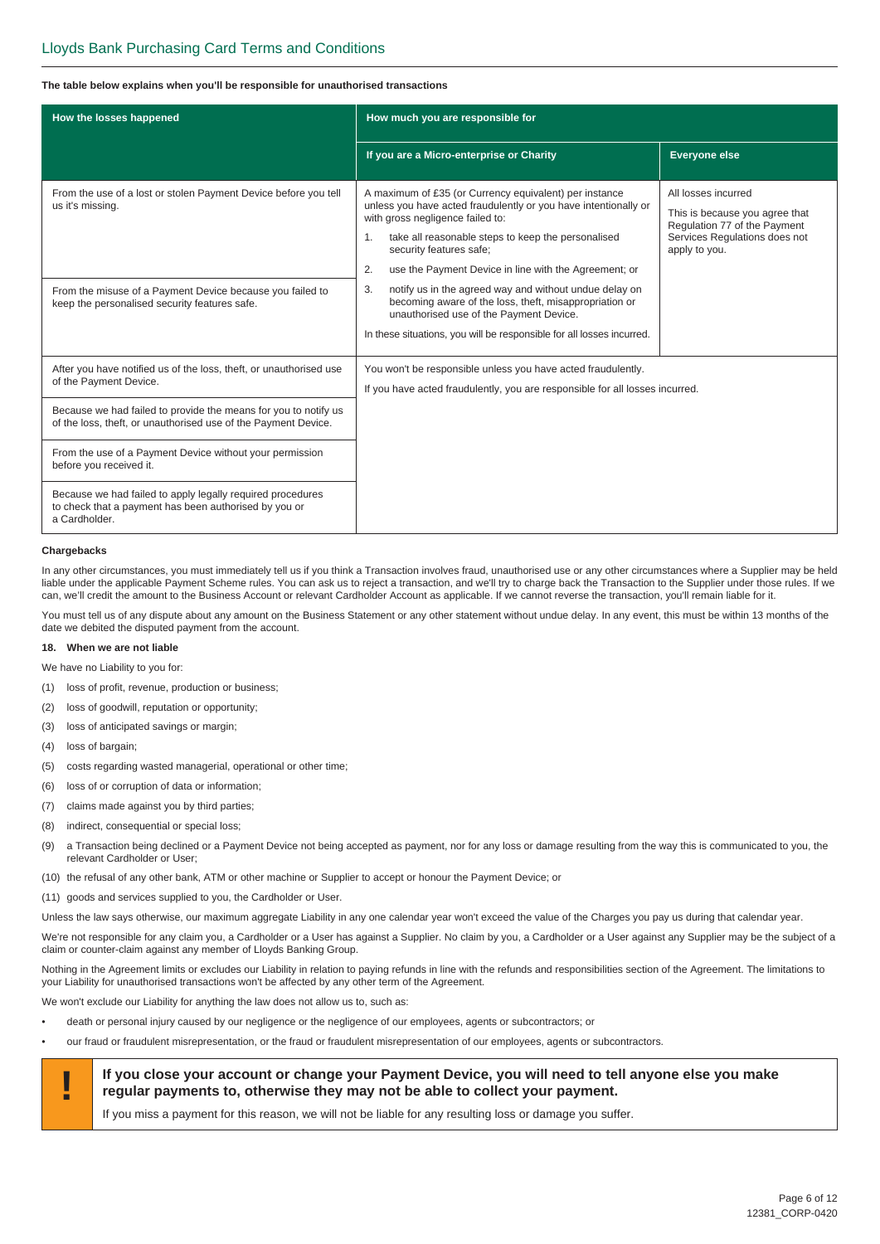#### **The table below explains when you'll be responsible for unauthorised transactions**

| How the losses happened                                                                                                              | How much you are responsible for                                                                                                                                                                                                                                                                                    |                                                                                                                                         |
|--------------------------------------------------------------------------------------------------------------------------------------|---------------------------------------------------------------------------------------------------------------------------------------------------------------------------------------------------------------------------------------------------------------------------------------------------------------------|-----------------------------------------------------------------------------------------------------------------------------------------|
|                                                                                                                                      | If you are a Micro-enterprise or Charity                                                                                                                                                                                                                                                                            | <b>Everyone else</b>                                                                                                                    |
| From the use of a lost or stolen Payment Device before you tell<br>us it's missing.                                                  | A maximum of £35 (or Currency equivalent) per instance<br>unless you have acted fraudulently or you have intentionally or<br>with gross negligence failed to:<br>1.<br>take all reasonable steps to keep the personalised<br>security features safe;<br>use the Payment Device in line with the Agreement; or<br>2. | All losses incurred<br>This is because you agree that<br>Regulation 77 of the Payment<br>Services Regulations does not<br>apply to you. |
| From the misuse of a Payment Device because you failed to<br>keep the personalised security features safe.                           | notify us in the agreed way and without undue delay on<br>3.<br>becoming aware of the loss, theft, misappropriation or<br>unauthorised use of the Payment Device.<br>In these situations, you will be responsible for all losses incurred.                                                                          |                                                                                                                                         |
| After you have notified us of the loss, theft, or unauthorised use<br>of the Payment Device.                                         | You won't be responsible unless you have acted fraudulently.<br>If you have acted fraudulently, you are responsible for all losses incurred.                                                                                                                                                                        |                                                                                                                                         |
| Because we had failed to provide the means for you to notify us<br>of the loss, theft, or unauthorised use of the Payment Device.    |                                                                                                                                                                                                                                                                                                                     |                                                                                                                                         |
| From the use of a Payment Device without your permission<br>before you received it.                                                  |                                                                                                                                                                                                                                                                                                                     |                                                                                                                                         |
| Because we had failed to apply legally required procedures<br>to check that a payment has been authorised by you or<br>a Cardholder. |                                                                                                                                                                                                                                                                                                                     |                                                                                                                                         |

#### **Chargebacks**

In any other circumstances, you must immediately tell us if you think a Transaction involves fraud, unauthorised use or any other circumstances where a Supplier may be held liable under the applicable Payment Scheme rules. You can ask us to reject a transaction, and we'll try to charge back the Transaction to the Supplier under those rules. If we can, we'll credit the amount to the Business Account or relevant Cardholder Account as applicable. If we cannot reverse the transaction, you'll remain liable for it.

You must tell us of any dispute about any amount on the Business Statement or any other statement without undue delay. In any event, this must be within 13 months of the date we debited the disputed payment from the account.

#### **18. When we are not liable**

We have no Liability to you for:

- (1) loss of profit, revenue, production or business;
- (2) loss of goodwill, reputation or opportunity;
- (3) loss of anticipated savings or margin;
- (4) loss of bargain;
- (5) costs regarding wasted managerial, operational or other time;
- (6) loss of or corruption of data or information;
- (7) claims made against you by third parties;
- (8) indirect, consequential or special loss;
- (9) a Transaction being declined or a Payment Device not being accepted as payment, nor for any loss or damage resulting from the way this is communicated to you, the relevant Cardholder or User;
- (10) the refusal of any other bank, ATM or other machine or Supplier to accept or honour the Payment Device; or
- (11) goods and services supplied to you, the Cardholder or User.

Unless the law says otherwise, our maximum aggregate Liability in any one calendar year won't exceed the value of the Charges you pay us during that calendar year.

We're not responsible for any claim you, a Cardholder or a User has against a Supplier. No claim by you, a Cardholder or a User against any Supplier may be the subject of a claim or counter-claim against any member of Lloyds Banking Group.

Nothing in the Agreement limits or excludes our Liability in relation to paying refunds in line with the refunds and responsibilities section of the Agreement. The limitations to your Liability for unauthorised transactions won't be affected by any other term of the Agreement.

We won't exclude our Liability for anything the law does not allow us to, such as:

- death or personal injury caused by our negligence or the negligence of our employees, agents or subcontractors; or
- our fraud or fraudulent misrepresentation, or the fraud or fraudulent misrepresentation of our employees, agents or subcontractors.



If you miss a payment for this reason, we will not be liable for any resulting loss or damage you suffer.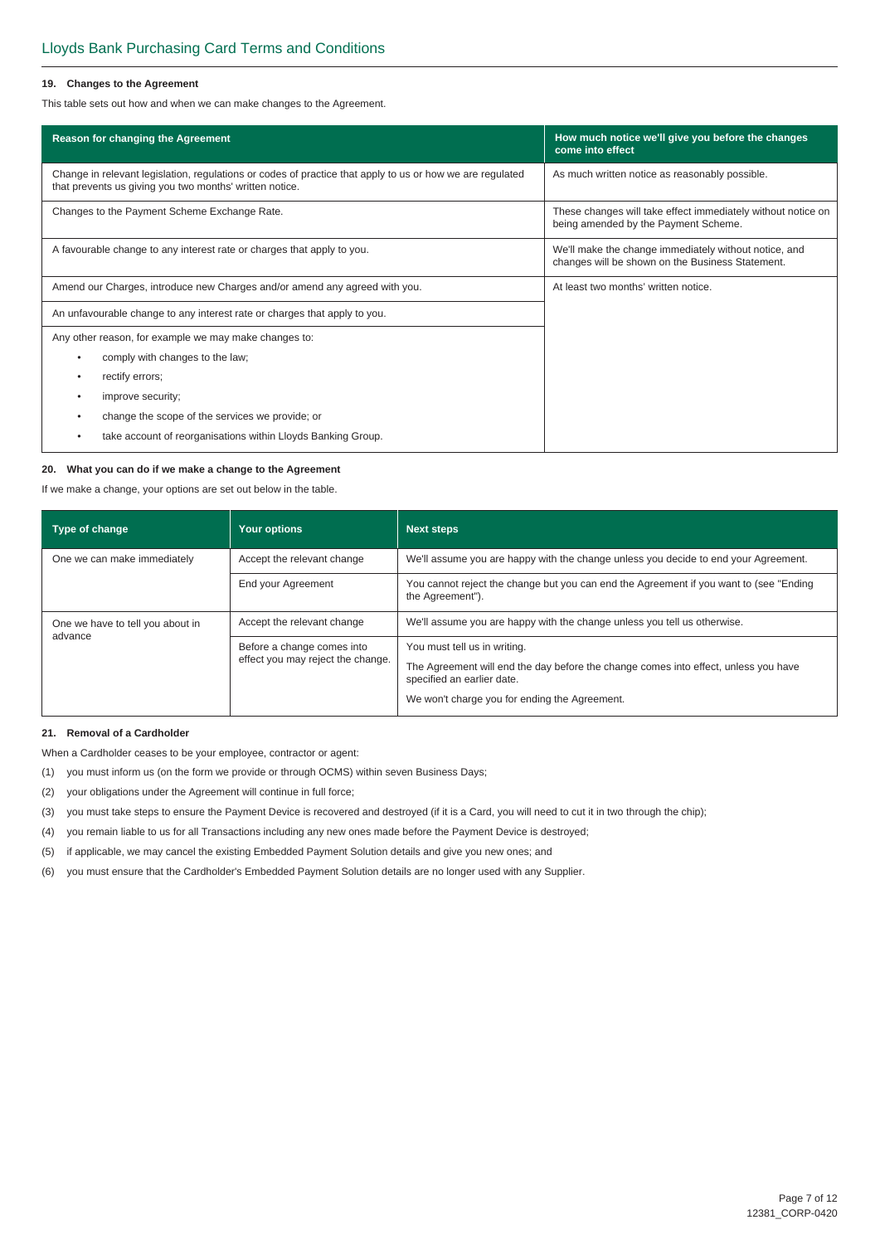#### **19. Changes to the Agreement**

This table sets out how and when we can make changes to the Agreement.

| Reason for changing the Agreement                                                                                                                                    | How much notice we'll give you before the changes<br>come into effect                                     |  |
|----------------------------------------------------------------------------------------------------------------------------------------------------------------------|-----------------------------------------------------------------------------------------------------------|--|
| Change in relevant legislation, regulations or codes of practice that apply to us or how we are regulated<br>that prevents us giving you two months' written notice. | As much written notice as reasonably possible.                                                            |  |
| Changes to the Payment Scheme Exchange Rate.                                                                                                                         | These changes will take effect immediately without notice on<br>being amended by the Payment Scheme.      |  |
| A favourable change to any interest rate or charges that apply to you.                                                                                               | We'll make the change immediately without notice, and<br>changes will be shown on the Business Statement. |  |
| Amend our Charges, introduce new Charges and/or amend any agreed with you.                                                                                           | At least two months' written notice.                                                                      |  |
| An unfavourable change to any interest rate or charges that apply to you.                                                                                            |                                                                                                           |  |
| Any other reason, for example we may make changes to:                                                                                                                |                                                                                                           |  |
| comply with changes to the law;<br>$\bullet$                                                                                                                         |                                                                                                           |  |
| rectify errors:                                                                                                                                                      |                                                                                                           |  |
| improve security;<br>٠                                                                                                                                               |                                                                                                           |  |
| change the scope of the services we provide; or                                                                                                                      |                                                                                                           |  |
| take account of reorganisations within Lloyds Banking Group.                                                                                                         |                                                                                                           |  |

#### **20. What you can do if we make a change to the Agreement**

If we make a change, your options are set out below in the table.

| Type of change                   | <b>Your options</b>                                             | <b>Next steps</b>                                                                                                                                                                                  |  |
|----------------------------------|-----------------------------------------------------------------|----------------------------------------------------------------------------------------------------------------------------------------------------------------------------------------------------|--|
| One we can make immediately      | Accept the relevant change                                      | We'll assume you are happy with the change unless you decide to end your Agreement.                                                                                                                |  |
|                                  | End your Agreement                                              | You cannot reject the change but you can end the Agreement if you want to (see "Ending"<br>the Agreement").                                                                                        |  |
| One we have to tell you about in | Accept the relevant change                                      | We'll assume you are happy with the change unless you tell us otherwise.                                                                                                                           |  |
| advance                          | Before a change comes into<br>effect you may reject the change. | You must tell us in writing.<br>The Agreement will end the day before the change comes into effect, unless you have<br>specified an earlier date.<br>We won't charge you for ending the Agreement. |  |

#### **21. Removal of a Cardholder**

When a Cardholder ceases to be your employee, contractor or agent:

- (1) you must inform us (on the form we provide or through OCMS) within seven Business Days;
- (2) your obligations under the Agreement will continue in full force;
- (3) you must take steps to ensure the Payment Device is recovered and destroyed (if it is a Card, you will need to cut it in two through the chip);
- (4) you remain liable to us for all Transactions including any new ones made before the Payment Device is destroyed;
- (5) if applicable, we may cancel the existing Embedded Payment Solution details and give you new ones; and
- (6) you must ensure that the Cardholder's Embedded Payment Solution details are no longer used with any Supplier.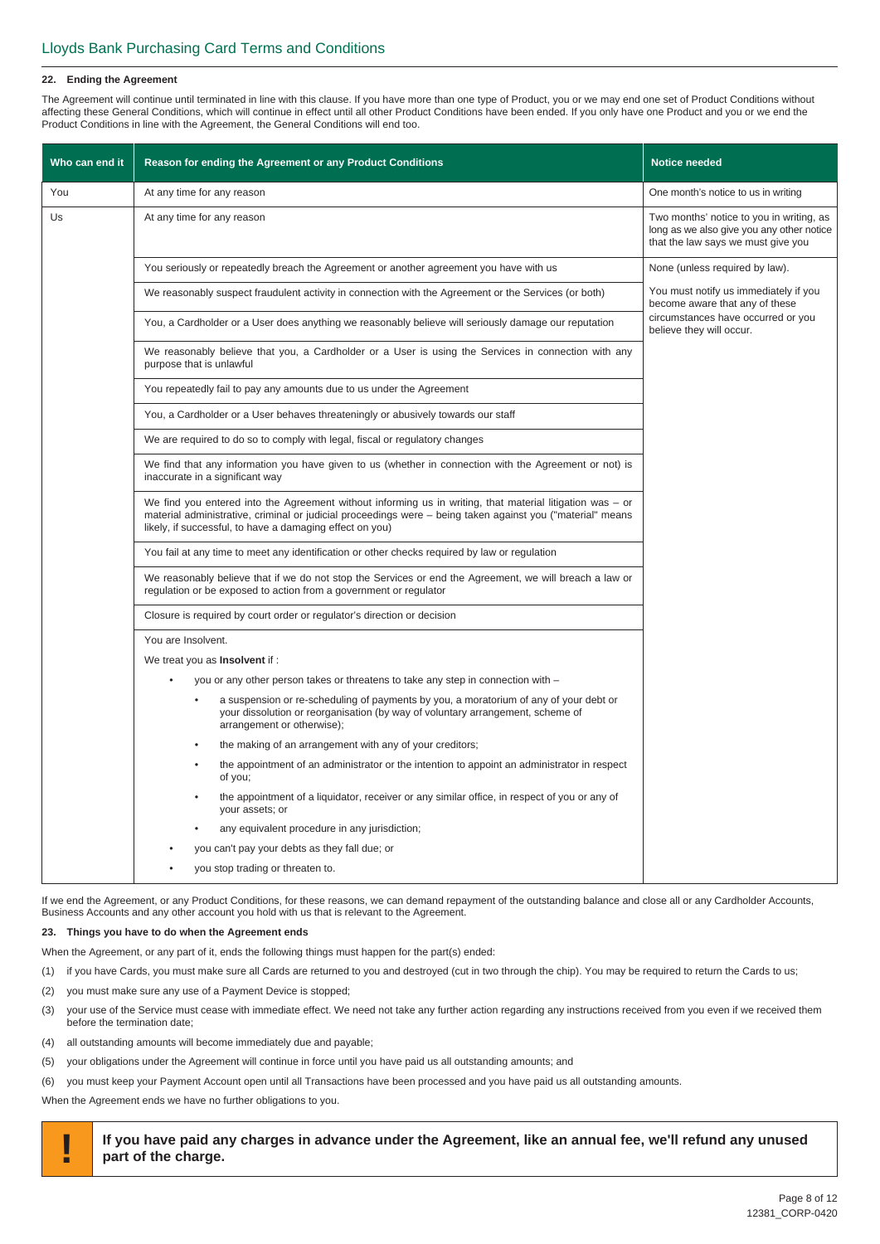#### **22. Ending the Agreement**

The Agreement will continue until terminated in line with this clause. If you have more than one type of Product, you or we may end one set of Product Conditions without affecting these General Conditions, which will continue in effect until all other Product Conditions have been ended. If you only have one Product and you or we end the Product Conditions in line with the Agreement, the General Conditions will end too.

| Who can end it | Reason for ending the Agreement or any Product Conditions                                                                                                                                                                                                                             | <b>Notice needed</b>                                                                                                        |
|----------------|---------------------------------------------------------------------------------------------------------------------------------------------------------------------------------------------------------------------------------------------------------------------------------------|-----------------------------------------------------------------------------------------------------------------------------|
| You            | At any time for any reason                                                                                                                                                                                                                                                            | One month's notice to us in writing                                                                                         |
| Us             | At any time for any reason                                                                                                                                                                                                                                                            | Two months' notice to you in writing, as<br>long as we also give you any other notice<br>that the law says we must give you |
|                | You seriously or repeatedly breach the Agreement or another agreement you have with us                                                                                                                                                                                                | None (unless required by law).                                                                                              |
|                | We reasonably suspect fraudulent activity in connection with the Agreement or the Services (or both)                                                                                                                                                                                  | You must notify us immediately if you<br>become aware that any of these                                                     |
|                | You, a Cardholder or a User does anything we reasonably believe will seriously damage our reputation                                                                                                                                                                                  | circumstances have occurred or you<br>believe they will occur.                                                              |
|                | We reasonably believe that you, a Cardholder or a User is using the Services in connection with any<br>purpose that is unlawful                                                                                                                                                       |                                                                                                                             |
|                | You repeatedly fail to pay any amounts due to us under the Agreement                                                                                                                                                                                                                  |                                                                                                                             |
|                | You, a Cardholder or a User behaves threateningly or abusively towards our staff                                                                                                                                                                                                      |                                                                                                                             |
|                | We are required to do so to comply with legal, fiscal or regulatory changes                                                                                                                                                                                                           |                                                                                                                             |
|                | We find that any information you have given to us (whether in connection with the Agreement or not) is<br>inaccurate in a significant way                                                                                                                                             |                                                                                                                             |
|                | We find you entered into the Agreement without informing us in writing, that material litigation was $-$ or<br>material administrative, criminal or judicial proceedings were – being taken against you ("material" means<br>likely, if successful, to have a damaging effect on you) |                                                                                                                             |
|                | You fail at any time to meet any identification or other checks required by law or regulation                                                                                                                                                                                         |                                                                                                                             |
|                | We reasonably believe that if we do not stop the Services or end the Agreement, we will breach a law or<br>regulation or be exposed to action from a government or regulator                                                                                                          |                                                                                                                             |
|                | Closure is required by court order or regulator's direction or decision                                                                                                                                                                                                               |                                                                                                                             |
|                | You are Insolvent.                                                                                                                                                                                                                                                                    |                                                                                                                             |
|                | We treat you as <b>Insolvent</b> if :                                                                                                                                                                                                                                                 |                                                                                                                             |
|                | you or any other person takes or threatens to take any step in connection with -                                                                                                                                                                                                      |                                                                                                                             |
|                | a suspension or re-scheduling of payments by you, a moratorium of any of your debt or<br>your dissolution or reorganisation (by way of voluntary arrangement, scheme of<br>arrangement or otherwise);                                                                                 |                                                                                                                             |
|                | the making of an arrangement with any of your creditors;                                                                                                                                                                                                                              |                                                                                                                             |
|                | the appointment of an administrator or the intention to appoint an administrator in respect<br>of you;                                                                                                                                                                                |                                                                                                                             |
|                | the appointment of a liquidator, receiver or any similar office, in respect of you or any of<br>your assets; or                                                                                                                                                                       |                                                                                                                             |
|                | any equivalent procedure in any jurisdiction;                                                                                                                                                                                                                                         |                                                                                                                             |
|                | you can't pay your debts as they fall due; or                                                                                                                                                                                                                                         |                                                                                                                             |
|                | you stop trading or threaten to.                                                                                                                                                                                                                                                      |                                                                                                                             |

If we end the Agreement, or any Product Conditions, for these reasons, we can demand repayment of the outstanding balance and close all or any Cardholder Accounts, Business Accounts and any other account you hold with us that is relevant to the Agreement.

#### **23. Things you have to do when the Agreement ends**

When the Agreement, or any part of it, ends the following things must happen for the part(s) ended:

- (1) if you have Cards, you must make sure all Cards are returned to you and destroyed (cut in two through the chip). You may be required to return the Cards to us;
- (2) you must make sure any use of a Payment Device is stopped;
- (3) your use of the Service must cease with immediate effect. We need not take any further action regarding any instructions received from you even if we received them before the termination date;
- (4) all outstanding amounts will become immediately due and payable;
- (5) your obligations under the Agreement will continue in force until you have paid us all outstanding amounts; and
- (6) you must keep your Payment Account open until all Transactions have been processed and you have paid us all outstanding amounts.

When the Agreement ends we have no further obligations to you.

**! If you have paid any charges in advance under the Agreement, like an annual fee, we'll refund any unused part of the charge.**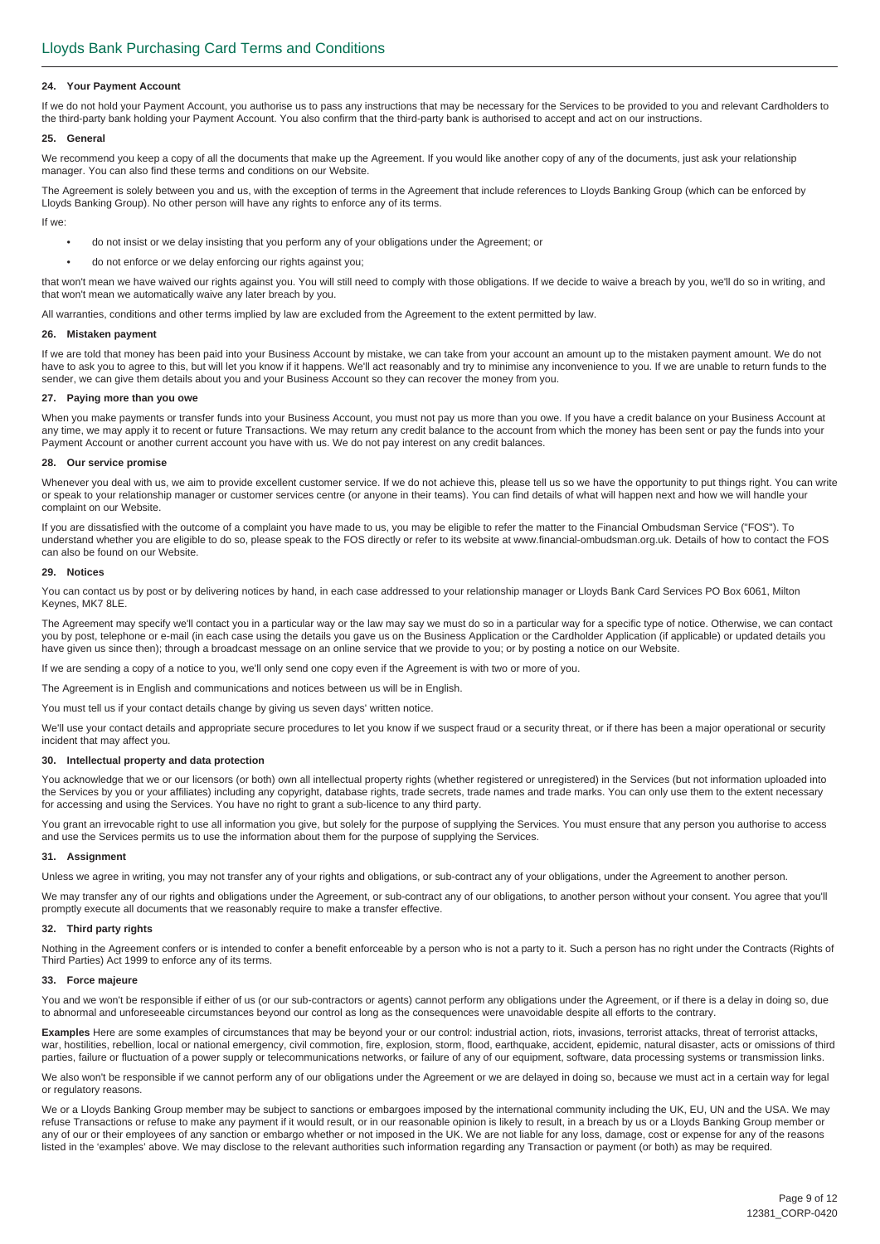#### **24. Your Payment Account**

If we do not hold your Payment Account, you authorise us to pass any instructions that may be necessary for the Services to be provided to you and relevant Cardholders to the third-party bank holding your Payment Account. You also confirm that the third-party bank is authorised to accept and act on our instructions.

#### **25. General**

We recommend you keep a copy of all the documents that make up the Agreement. If you would like another copy of any of the documents, just ask your relationship manager. You can also find these terms and conditions on our Website.

The Agreement is solely between you and us, with the exception of terms in the Agreement that include references to Lloyds Banking Group (which can be enforced by Lloyds Banking Group). No other person will have any rights to enforce any of its terms.

If we:

- do not insist or we delay insisting that you perform any of your obligations under the Agreement; or
- do not enforce or we delay enforcing our rights against you;

that won't mean we have waived our rights against you. You will still need to comply with those obligations. If we decide to waive a breach by you, we'll do so in writing, and that won't mean we automatically waive any later breach by you.

All warranties, conditions and other terms implied by law are excluded from the Agreement to the extent permitted by law.

#### **26. Mistaken payment**

If we are told that money has been paid into your Business Account by mistake, we can take from your account an amount up to the mistaken payment amount. We do not have to ask you to agree to this, but will let you know if it happens. We'll act reasonably and try to minimise any inconvenience to you. If we are unable to return funds to the sender, we can give them details about you and your Business Account so they can recover the money from you.

#### **27. Paying more than you owe**

When you make payments or transfer funds into your Business Account, you must not pay us more than you owe. If you have a credit balance on your Business Account at any time, we may apply it to recent or future Transactions. We may return any credit balance to the account from which the money has been sent or pay the funds into your Payment Account or another current account you have with us. We do not pay interest on any credit balances.

#### **28. Our service promise**

Whenever you deal with us, we aim to provide excellent customer service. If we do not achieve this, please tell us so we have the opportunity to put things right. You can write or speak to your relationship manager or customer services centre (or anyone in their teams). You can find details of what will happen next and how we will handle your complaint on our Website.

If you are dissatisfied with the outcome of a complaint you have made to us, you may be eligible to refer the matter to the Financial Ombudsman Service ("FOS"). To understand whether you are eligible to do so, please speak to the FOS directly or refer to its website at www.financial-ombudsman.org.uk. Details of how to contact the FOS can also be found on our Website.

#### **29. Notices**

You can contact us by post or by delivering notices by hand, in each case addressed to your relationship manager or Lloyds Bank Card Services PO Box 6061, Milton Keynes, MK7 8LE.

The Agreement may specify we'll contact you in a particular way or the law may say we must do so in a particular way for a specific type of notice. Otherwise, we can contact you by post, telephone or e-mail (in each case using the details you gave us on the Business Application or the Cardholder Application (if applicable) or updated details you have given us since then); through a broadcast message on an online service that we provide to you; or by posting a notice on our Website.

If we are sending a copy of a notice to you, we'll only send one copy even if the Agreement is with two or more of you.

The Agreement is in English and communications and notices between us will be in English.

You must tell us if your contact details change by giving us seven days' written notice.

We'll use your contact details and appropriate secure procedures to let you know if we suspect fraud or a security threat, or if there has been a major operational or security incident that may affect you.

#### **30. Intellectual property and data protection**

You acknowledge that we or our licensors (or both) own all intellectual property rights (whether registered or unregistered) in the Services (but not information uploaded into the Services by you or your affiliates) including any copyright, database rights, trade secrets, trade names and trade marks. You can only use them to the extent necessary for accessing and using the Services. You have no right to grant a sub-licence to any third party.

You grant an irrevocable right to use all information you give, but solely for the purpose of supplying the Services. You must ensure that any person you authorise to access and use the Services permits us to use the information about them for the purpose of supplying the Services.

#### **31. Assignment**

Unless we agree in writing, you may not transfer any of your rights and obligations, or sub-contract any of your obligations, under the Agreement to another person.

We may transfer any of our rights and obligations under the Agreement, or sub-contract any of our obligations, to another person without your consent. You agree that you'll promptly execute all documents that we reasonably require to make a transfer effective.

#### **32. Third party rights**

Nothing in the Agreement confers or is intended to confer a benefit enforceable by a person who is not a party to it. Such a person has no right under the Contracts (Rights of Third Parties) Act 1999 to enforce any of its terms.

#### **33. Force majeure**

You and we won't be responsible if either of us (or our sub-contractors or agents) cannot perform any obligations under the Agreement, or if there is a delay in doing so, due to abnormal and unforeseeable circumstances beyond our control as long as the consequences were unavoidable despite all efforts to the contrary.

**Examples** Here are some examples of circumstances that may be beyond your or our control: industrial action, riots, invasions, terrorist attacks, threat of terrorist attacks, war, hostilities, rebellion, local or national emergency, civil commotion, fire, explosion, storm, flood, earthquake, accident, epidemic, natural disaster, acts or omissions of third parties, failure or fluctuation of a power supply or telecommunications networks, or failure of any of our equipment, software, data processing systems or transmission links.

We also won't be responsible if we cannot perform any of our obligations under the Agreement or we are delayed in doing so, because we must act in a certain way for legal or regulatory reasons.

We or a Lloyds Banking Group member may be subject to sanctions or embargoes imposed by the international community including the UK, EU, UN and the USA. We may refuse Transactions or refuse to make any payment if it would result, or in our reasonable opinion is likely to result, in a breach by us or a Lloyds Banking Group member or any of our or their employees of any sanction or embargo whether or not imposed in the UK. We are not liable for any loss, damage, cost or expense for any of the reasons listed in the 'examples' above. We may disclose to the relevant authorities such information regarding any Transaction or payment (or both) as may be required.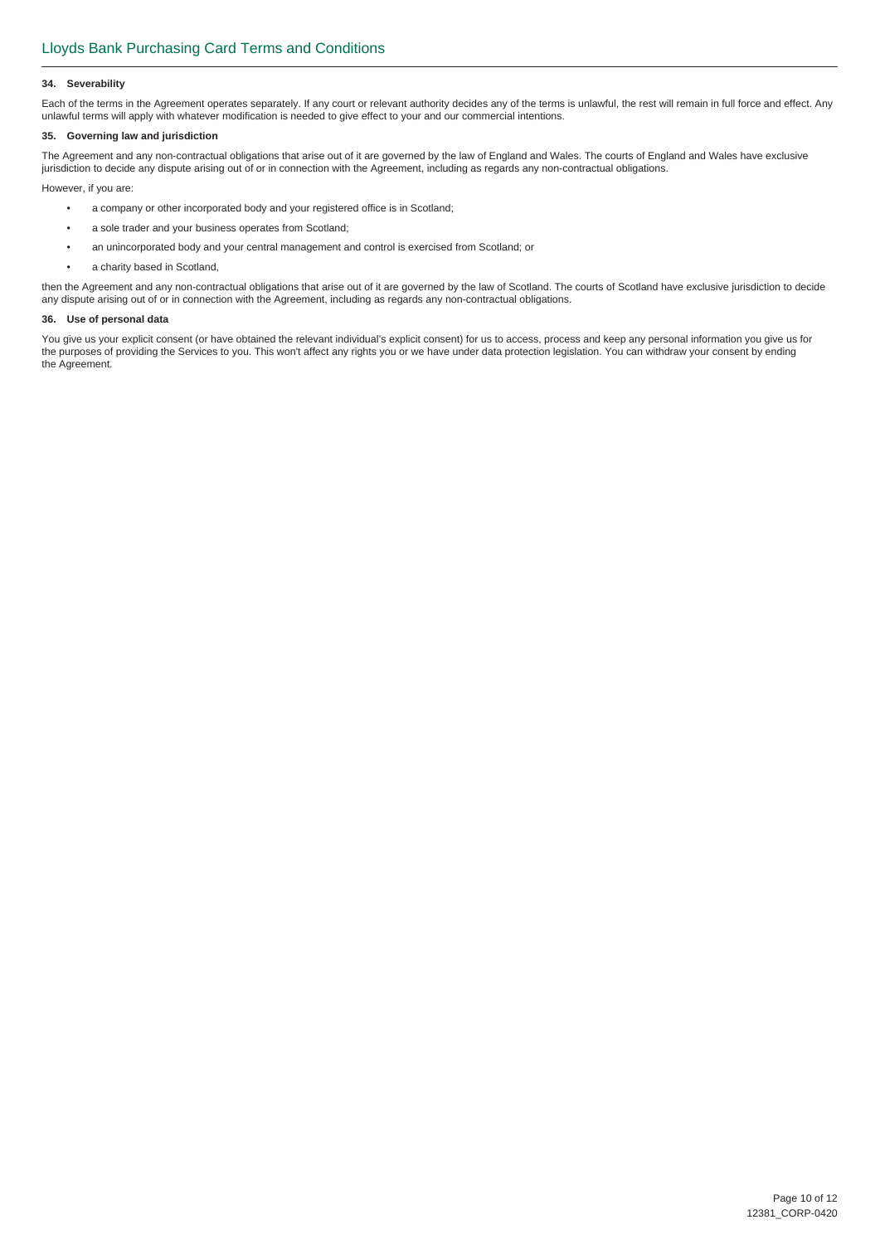#### **34. Severability**

Each of the terms in the Agreement operates separately. If any court or relevant authority decides any of the terms is unlawful, the rest will remain in full force and effect. Any unlawful terms will apply with whatever modification is needed to give effect to your and our commercial intentions.

#### **35. Governing law and jurisdiction**

The Agreement and any non-contractual obligations that arise out of it are governed by the law of England and Wales. The courts of England and Wales have exclusive jurisdiction to decide any dispute arising out of or in connection with the Agreement, including as regards any non-contractual obligations.

However, if you are:

- a company or other incorporated body and your registered office is in Scotland;
- a sole trader and your business operates from Scotland;
- an unincorporated body and your central management and control is exercised from Scotland; or
- a charity based in Scotland,

then the Agreement and any non-contractual obligations that arise out of it are governed by the law of Scotland. The courts of Scotland have exclusive jurisdiction to decide any dispute arising out of or in connection with the Agreement, including as regards any non-contractual obligations.

#### **36. Use of personal data**

You give us your explicit consent (or have obtained the relevant individual's explicit consent) for us to access, process and keep any personal information you give us for the purposes of providing the Services to you. This won't affect any rights you or we have under data protection legislation. You can withdraw your consent by ending the Agreement.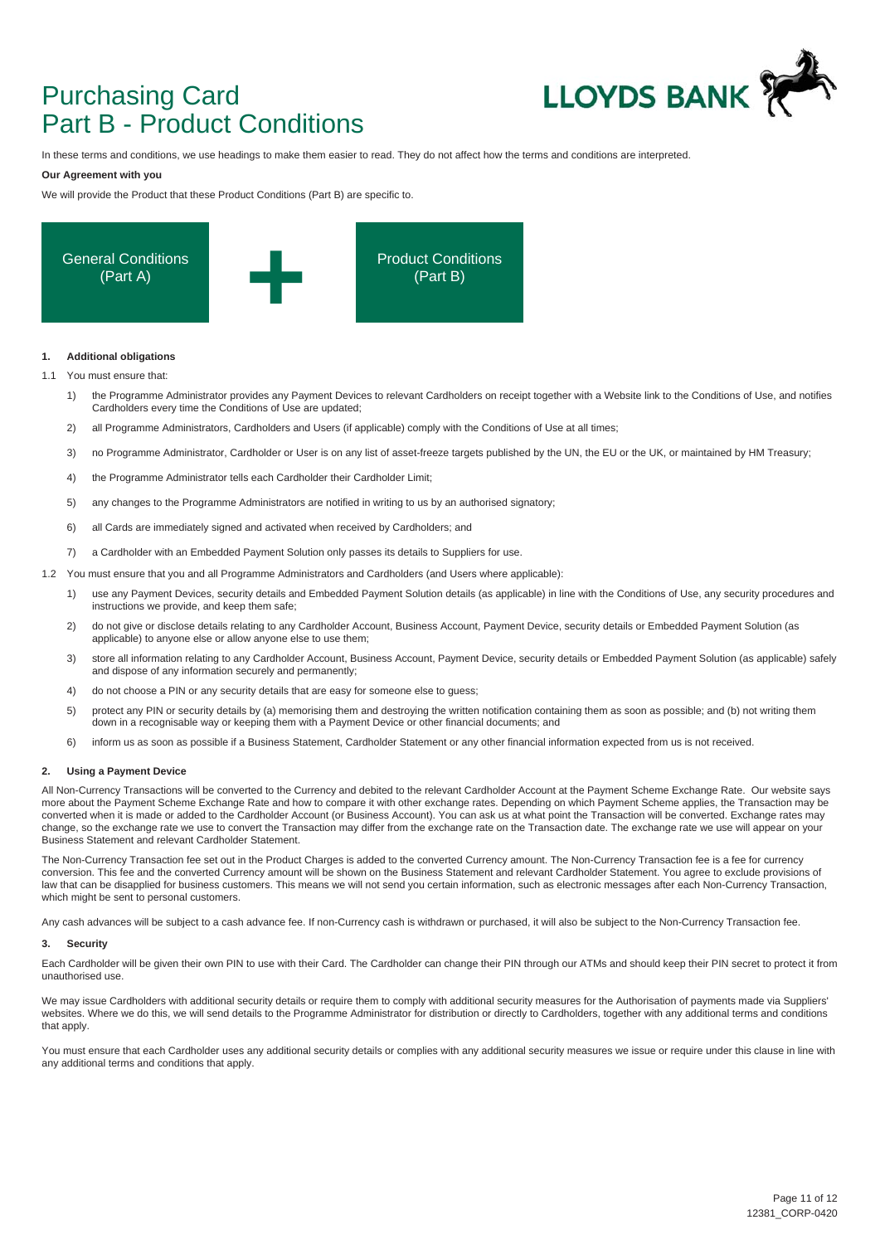## Purchasing Card Part B - Product Conditions



In these terms and conditions, we use headings to make them easier to read. They do not affect how the terms and conditions are interpreted.

#### **Our Agreement with you**

We will provide the Product that these Product Conditions (Part B) are specific to.



#### **1. Additional obligations**

1.1 You must ensure that:

- 1) the Programme Administrator provides any Payment Devices to relevant Cardholders on receipt together with a Website link to the Conditions of Use, and notifies Cardholders every time the Conditions of Use are updated;
- 2) all Programme Administrators, Cardholders and Users (if applicable) comply with the Conditions of Use at all times;
- 3) no Programme Administrator, Cardholder or User is on any list of asset-freeze targets published by the UN, the EU or the UK, or maintained by HM Treasury;
- 4) the Programme Administrator tells each Cardholder their Cardholder Limit;
- 5) any changes to the Programme Administrators are notified in writing to us by an authorised signatory;
- 6) all Cards are immediately signed and activated when received by Cardholders; and
- 7) a Cardholder with an Embedded Payment Solution only passes its details to Suppliers for use.
- 1.2 You must ensure that you and all Programme Administrators and Cardholders (and Users where applicable):
	- 1) use any Payment Devices, security details and Embedded Payment Solution details (as applicable) in line with the Conditions of Use, any security procedures and instructions we provide, and keep them safe;
	- 2) do not give or disclose details relating to any Cardholder Account, Business Account, Payment Device, security details or Embedded Payment Solution (as applicable) to anyone else or allow anyone else to use them;
	- 3) store all information relating to any Cardholder Account, Business Account, Payment Device, security details or Embedded Payment Solution (as applicable) safely and dispose of any information securely and permanently;
	- 4) do not choose a PIN or any security details that are easy for someone else to guess;
	- 5) protect any PIN or security details by (a) memorising them and destroying the written notification containing them as soon as possible; and (b) not writing them down in a recognisable way or keeping them with a Payment Device or other financial documents; and
	- 6) inform us as soon as possible if a Business Statement, Cardholder Statement or any other financial information expected from us is not received.

#### **2. Using a Payment Device**

All Non-Currency Transactions will be converted to the Currency and debited to the relevant Cardholder Account at the Payment Scheme Exchange Rate. Our website says more about the Payment Scheme Exchange Rate and how to compare it with other exchange rates. Depending on which Payment Scheme applies, the Transaction may be converted when it is made or added to the Cardholder Account (or Business Account). You can ask us at what point the Transaction will be converted. Exchange rates may change, so the exchange rate we use to convert the Transaction may differ from the exchange rate on the Transaction date. The exchange rate we use will appear on your Business Statement and relevant Cardholder Statement.

The Non-Currency Transaction fee set out in the Product Charges is added to the converted Currency amount. The Non-Currency Transaction fee is a fee for currency conversion. This fee and the converted Currency amount will be shown on the Business Statement and relevant Cardholder Statement. You agree to exclude provisions of law that can be disapplied for business customers. This means we will not send you certain information, such as electronic messages after each Non-Currency Transaction, which might be sent to personal customers.

Any cash advances will be subject to a cash advance fee. If non-Currency cash is withdrawn or purchased, it will also be subject to the Non-Currency Transaction fee.

#### **3. Security**

Each Cardholder will be given their own PIN to use with their Card. The Cardholder can change their PIN through our ATMs and should keep their PIN secret to protect it from unauthorised use.

We may issue Cardholders with additional security details or require them to comply with additional security measures for the Authorisation of payments made via Suppliers' websites. Where we do this, we will send details to the Programme Administrator for distribution or directly to Cardholders, together with any additional terms and conditions that apply.

You must ensure that each Cardholder uses any additional security details or complies with any additional security measures we issue or require under this clause in line with any additional terms and conditions that apply.